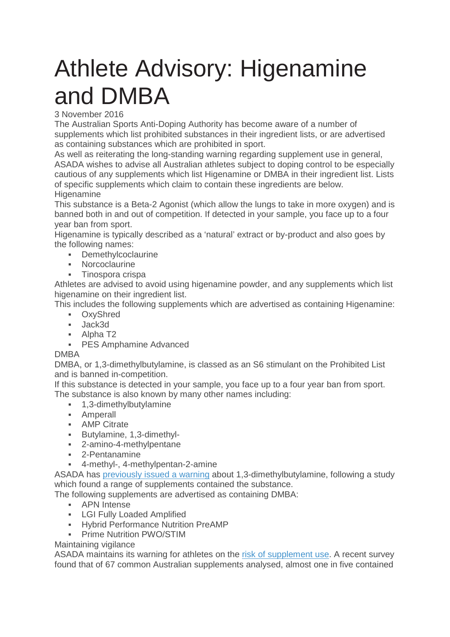## Athlete Advisory: Higenamine and DMBA

3 November 2016

The Australian Sports Anti-Doping Authority has become aware of a number of supplements which list prohibited substances in their ingredient lists, or are advertised as containing substances which are prohibited in sport.

As well as reiterating the long-standing warning regarding supplement use in general, ASADA wishes to advise all Australian athletes subject to doping control to be especially cautious of any supplements which list Higenamine or DMBA in their ingredient list. Lists of specific supplements which claim to contain these ingredients are below. **Higenamine** 

This substance is a Beta-2 Agonist (which allow the lungs to take in more oxygen) and is banned both in and out of competition. If detected in your sample, you face up to a four year ban from sport.

Higenamine is typically described as a 'natural' extract or by-product and also goes by the following names:

- **-** Demethylcoclaurine
- **Norcoclaurine**
- **Tinospora crispa**

Athletes are advised to avoid using higenamine powder, and any supplements which list higenamine on their ingredient list.

This includes the following supplements which are advertised as containing Higenamine:

- OxyShred
- Jack3d
- Alpha T2
- **PES Amphamine Advanced**

## DMBA

DMBA, or 1,3-dimethylbutylamine, is classed as an S6 stimulant on the Prohibited List and is banned in-competition.

If this substance is detected in your sample, you face up to a four year ban from sport. The substance is also known by many other names including:

- **-** 1.3-dimethylbutylamine
- **Amperall**
- **AMP Citrate**
- Butylamine, 1,3-dimethyl-
- 2-amino-4-methylpentane
- 2-Pentanamine
- 4-methyl-, 4-methylpentan-2-amine

ASADA has previously issued a warning about 1,3-dimethylbutylamine, following a study which found a range of supplements contained the substance.

The following supplements are advertised as containing DMBA:

- **APN** Intense
- **-** LGI Fully Loaded Amplified
- **Hybrid Performance Nutrition PreAMP**
- **-** Prime Nutrition PWO/STIM

## Maintaining vigilance

ASADA maintains its warning for athletes on the risk of supplement use. A recent survey found that of 67 common Australian supplements analysed, almost one in five contained